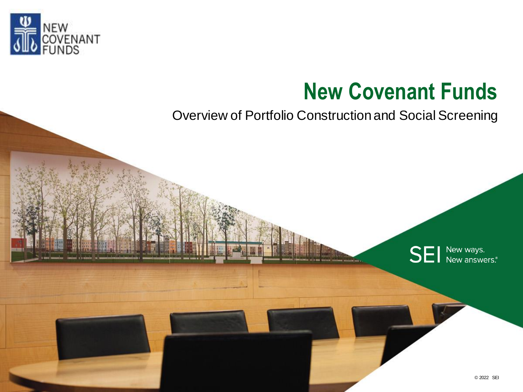

# **New Covenant Funds**

Overview of Portfolio Construction and Social Screening

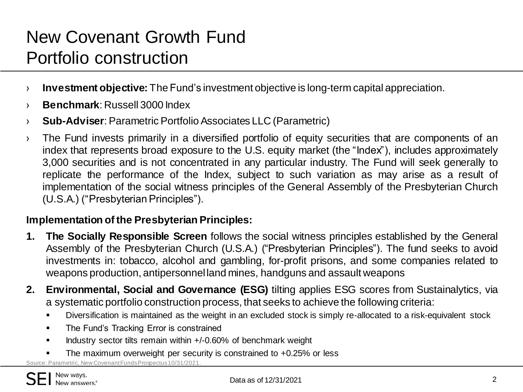# New Covenant Growth Fund Portfolio construction

- › **Investment objective:** The Fund's investment objective is long-term capital appreciation.
- › **Benchmark**: Russell 3000 Index
- › **Sub-Adviser**: Parametric Portfolio Associates LLC (Parametric)
- › The Fund invests primarily in a diversified portfolio of equity securities that are components of an index that represents broad exposure to the U.S. equity market (the "Index"), includes approximately 3,000 securities and is not concentrated in any particular industry. The Fund will seek generally to replicate the performance of the Index, subject to such variation as may arise as a result of implementation of the social witness principles of the General Assembly of the Presbyterian Church (U.S.A.) ("Presbyterian Principles").

#### **Implementation of the Presbyterian Principles:**

- **1. The Socially Responsible Screen** follows the social witness principles established by the General Assembly of the Presbyterian Church (U.S.A.) ("Presbyterian Principles"). The fund seeks to avoid investments in: tobacco, alcohol and gambling, for-profit prisons, and some companies related to weapons production, antipersonnel land mines, handguns and assault weapons
- **2. Environmental, Social and Governance (ESG)** tilting applies ESG scores from Sustainalytics, via a systematic portfolio construction process, that seeks to achieve the following criteria:
	- Diversification is maintained as the weight in an excluded stock is simply re-allocated to a risk-equivalent stock
	- The Fund's Tracking Error is constrained
	- Industry sector tilts remain within +/-0.60% of benchmark weight
	- The maximum overweight per security is constrained to +0.25% or less

Source: Parametric, New Covenant Funds Prospectus 10/31/2021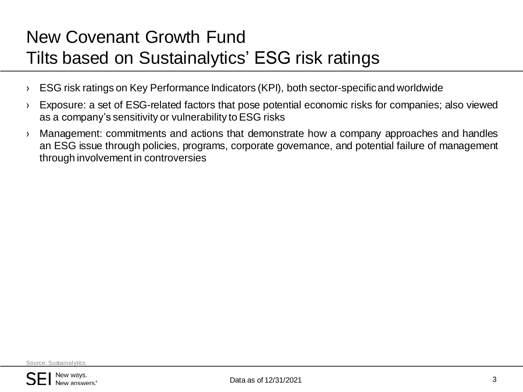# New Covenant Growth Fund Tilts based on Sustainalytics' ESG risk ratings

- › ESG risk ratings on Key Performance Indicators (KPI), both sector-specificand worldwide
- › Exposure: a set of ESG-related factors that pose potential economic risks for companies; also viewed as a company's sensitivity or vulnerability toESG risks
- › Management: commitments and actions that demonstrate how a company approaches and handles an ESG issue through policies, programs, corporate governance, and potential failure of management through involvement in controversies

Source: Sustainalytics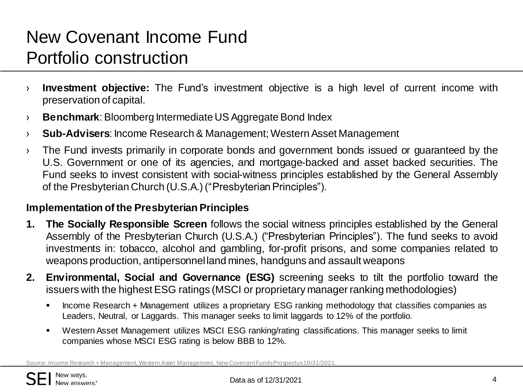## New Covenant Income Fund Portfolio construction

- › **Investment objective:** The Fund's investment objective is a high level of current income with preservation of capital.
- **Benchmark:** Bloomberg Intermediate US Aggregate Bond Index
- › **Sub-Advisers**: Income Research & Management; WesternAsset Management
- › The Fund invests primarily in corporate bonds and government bonds issued or guaranteed by the U.S. Government or one of its agencies, and mortgage-backed and asset backed securities. The Fund seeks to invest consistent with social-witness principles established by the General Assembly of the Presbyterian Church (U.S.A.)("PresbyterianPrinciples").

#### **Implementation of the Presbyterian Principles**

- **1. The Socially Responsible Screen** follows the social witness principles established by the General Assembly of the Presbyterian Church (U.S.A.) ("Presbyterian Principles"). The fund seeks to avoid investments in: tobacco, alcohol and gambling, for-profit prisons, and some companies related to weapons production, antipersonnel land mines, handguns and assault weapons
- **2. Environmental, Social and Governance (ESG)** screening seeks to tilt the portfolio toward the issuers with the highest ESG ratings (MSCI or proprietary manager ranking methodologies)
	- Income Research + Management utilizes a proprietary ESG ranking methodology that classifies companies as Leaders, Neutral, or Laggards. This manager seeks to limit laggards to 12% of the portfolio.
	- Western Asset Management utilizes MSCI ESG ranking/rating classifications. This manager seeks to limit companies whose MSCI ESG rating is below BBB to 12%.

Source: Income Research + Management, Western Asset Management, New Covenant Funds Prospectus 10/31/2021.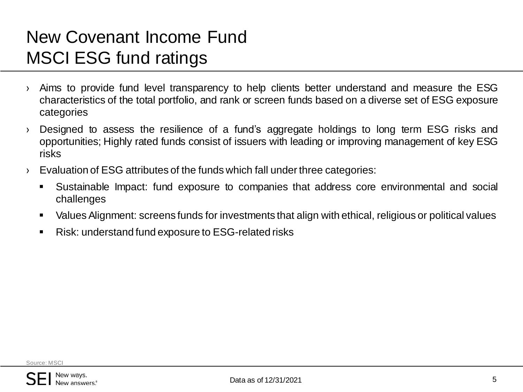### New Covenant Income Fund MSCI ESG fund ratings

- › Aims to provide fund level transparency to help clients better understand and measure the ESG characteristics of the total portfolio, and rank or screen funds based on a diverse set of ESG exposure categories
- › Designed to assess the resilience of a fund's aggregate holdings to long term ESG risks and opportunities; Highly rated funds consist of issuers with leading or improving management of key ESG risks
- $\rightarrow$  Evaluation of ESG attributes of the funds which fall under three categories:
	- Sustainable Impact: fund exposure to companies that address core environmental and social challenges
	- ValuesAlignment: screens funds for investments that align with ethical, religious or political values
	- Risk: understand fund exposure to ESG-related risks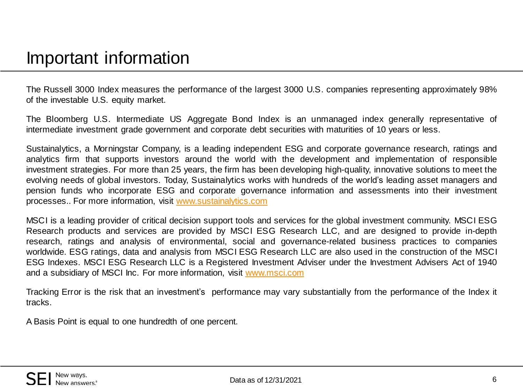#### Important information

The Russell 3000 Index measures the performance of the largest 3000 U.S. companies representing approximately 98% of the investable U.S. equity market.

The Bloomberg U.S. Intermediate US Aggregate Bond Index is an unmanaged index generally representative of intermediate investment grade government and corporate debt securities with maturities of 10 years or less.

Sustainalytics, a Morningstar Company, is a leading independent ESG and corporate governance research, ratings and analytics firm that supports investors around the world with the development and implementation of responsible investment strategies. For more than 25 years, the firm has been developing high-quality, innovative solutions to meet the evolving needs of global investors. Today, Sustainalytics works with hundreds of the world's leading asset managers and pension funds who incorporate ESG and corporate governance information and assessments into their investment processes.. For more information, visit [www.sustainalytics.com](http://www.sustainalytics.com/)

MSCI is a leading provider of critical decision support tools and services for the global investment community. MSCI ESG Research products and services are provided by MSCI ESG Research LLC, and are designed to provide in-depth research, ratings and analysis of environmental, social and governance-related business practices to companies worldwide. ESG ratings, data and analysis from MSCI ESG Research LLC are also used in the construction of the MSCI ESG Indexes. MSCI ESG Research LLC is a Registered Investment Adviser under the Investment Advisers Act of 1940 and a subsidiary of MSCI Inc. For more information, visit [www.msci.com](http://www.msci.com/)

Tracking Error is the risk that an investment's performance may vary substantially from the performance of the Index it tracks.

A Basis Point is equal to one hundredth of one percent.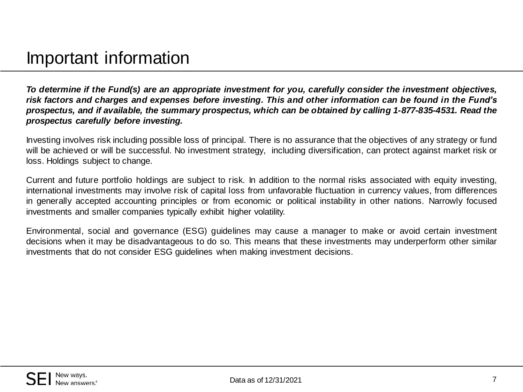*To determine if the Fund(s) are an appropriate investment for you, carefully consider the investment objectives,* risk factors and charges and expenses before investing. This and other information can be found in the Fund's *prospectus, and if available, the summary prospectus, which can be obtained by calling 1-877-835-4531. Read the prospectus carefully before investing.*

Investing involves risk including possible loss of principal. There is no assurance that the objectives of any strategy or fund will be achieved or will be successful. No investment strategy, including diversification, can protect against market risk or loss. Holdings subject to change.

Current and future portfolio holdings are subject to risk. In addition to the normal risks associated with equity investing, international investments may involve risk of capital loss from unfavorable fluctuation in currency values, from differences in generally accepted accounting principles or from economic or political instability in other nations. Narrowly focused investments and smaller companies typically exhibit higher volatility.

Environmental, social and governance (ESG) guidelines may cause a manager to make or avoid certain investment decisions when it may be disadvantageous to do so. This means that these investments may underperform other similar investments that do not consider ESG guidelines when making investment decisions.